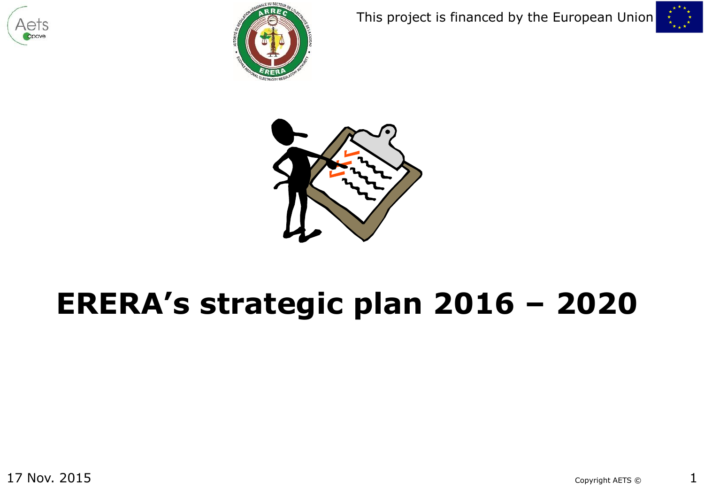







# **ERERA's strategic plan 2016 – 2020**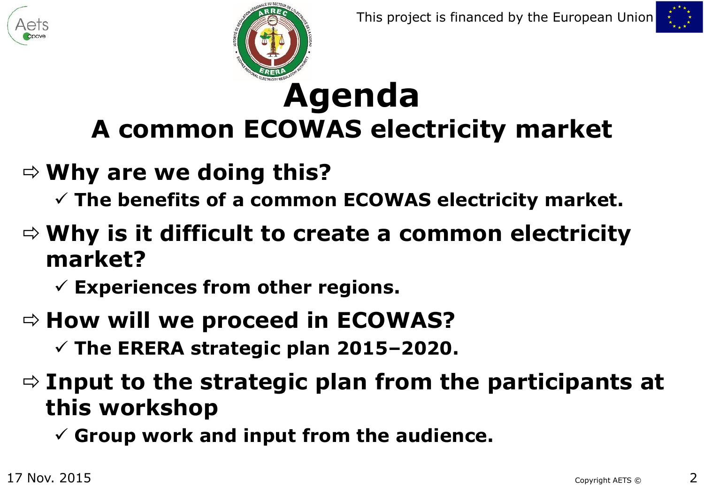



# **Agenda A common ECOWAS electricity market**

#### **Why are we doing this?**

**The benefits of a common ECOWAS electricity market.**

#### **Why is it difficult to create a common electricity market?**

**Experiences from other regions.**

#### $\Rightarrow$  **How will we proceed in ECOWAS?**

**The ERERA strategic plan 2015–2020.**

#### **Input to the strategic plan from the participants at this workshop**

**Group work and input from the audience.**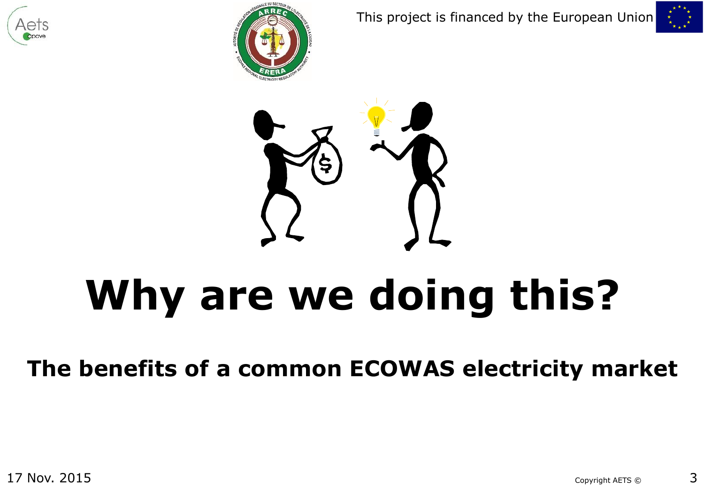







# **Why are we doing this?**

**The benefits of a common ECOWAS electricity market**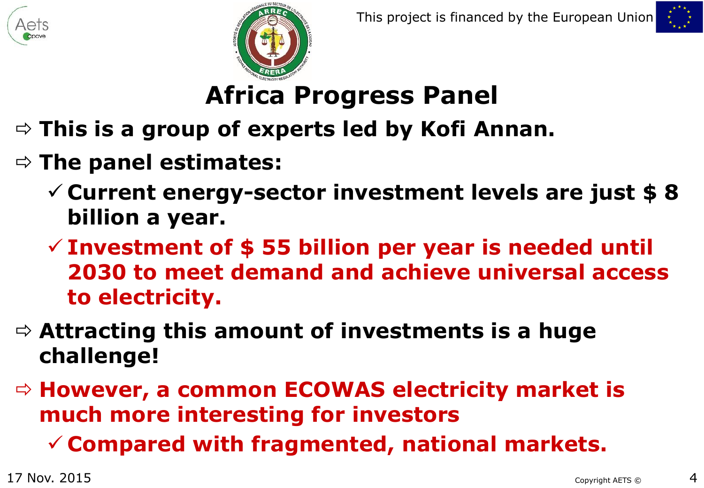![](_page_3_Picture_0.jpeg)

![](_page_3_Picture_3.jpeg)

# **Africa Progress Panel**

- **This is a group of experts led by Kofi Annan.**
- **The panel estimates:**
	- **Current energy-sector investment levels are just \$ 8 billion a year.**
	- **Investment of \$ 55 billion per year is needed until 2030 to meet demand and achieve universal access to electricity.**
- **Attracting this amount of investments is a huge challenge!**
- **However, a common ECOWAS electricity market is much more interesting for investors**
	- **Compared with fragmented, national markets.**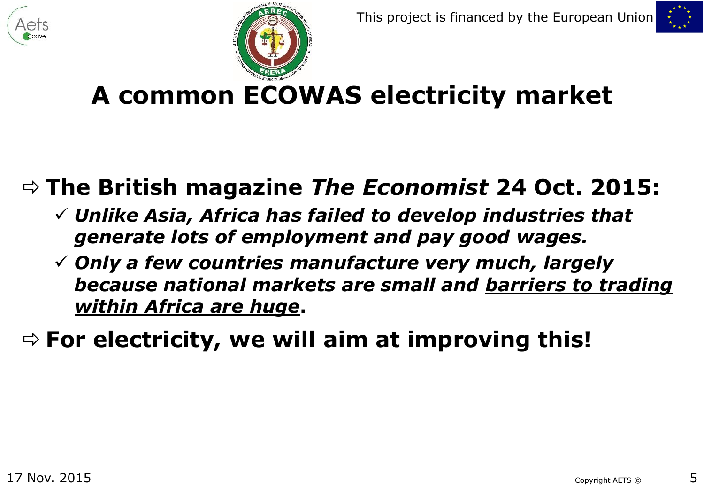![](_page_4_Picture_0.jpeg)

![](_page_4_Picture_3.jpeg)

### **A common ECOWAS electricity market**

#### **The British magazine** *The Economist* **24 Oct. 2015:**

- *Unlike Asia, Africa has failed to develop industries that generate lots of employment and pay good wages.*
- *Only a few countries manufacture very much, largely because national markets are small and barriers to trading within Africa are huge***.**

**For electricity, we will aim at improving this!**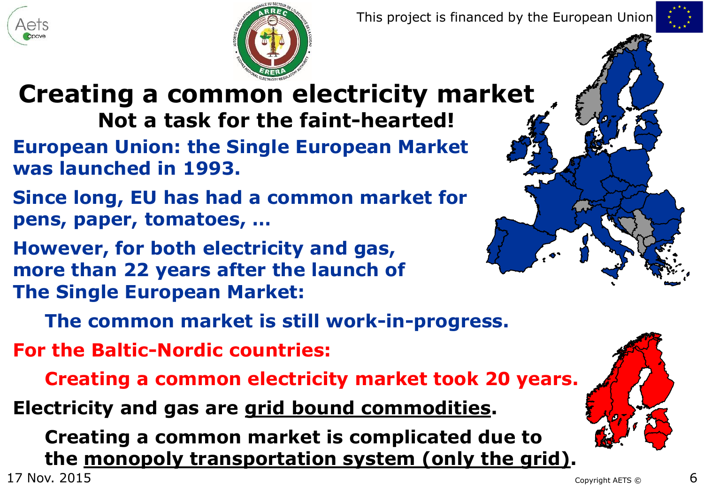![](_page_5_Picture_0.jpeg)

![](_page_5_Picture_3.jpeg)

**Creating a common electricity market Not a task for the faint-hearted!**

- **European Union: the Single European Market was launched in 1993.**
- **Since long, EU has had a common market for pens, paper, tomatoes, …**
- **However, for both electricity and gas, more than 22 years after the launch of The Single European Market:**

![](_page_5_Figure_8.jpeg)

**The common market is still work-in-progress.**

**For the Baltic-Nordic countries:**

**Creating a common electricity market took 20 years.**

**Electricity and gas are grid bound commodities.**

 $17$  Nov.  $2015$   $6$ **Creating a common market is complicated due to the monopoly transportation system (only the grid).**

![](_page_5_Picture_14.jpeg)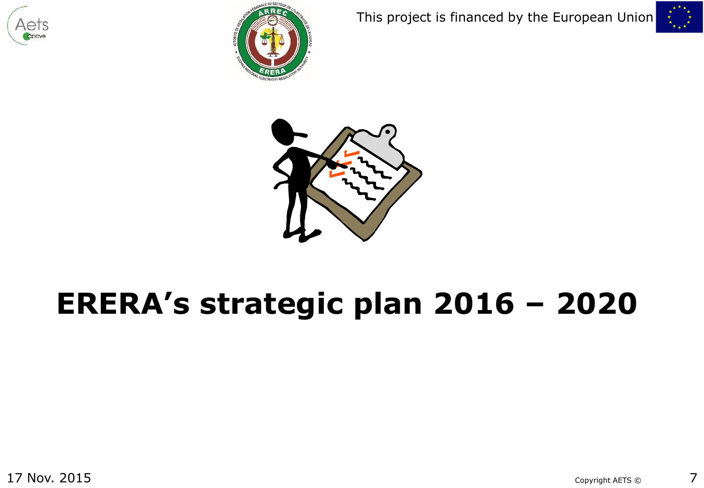![](_page_6_Picture_0.jpeg)

![](_page_6_Picture_1.jpeg)

![](_page_6_Picture_3.jpeg)

![](_page_6_Picture_4.jpeg)

# **ERERA's strategic plan 2016 – 2020**

17 Nov. 2015  $\sim$  7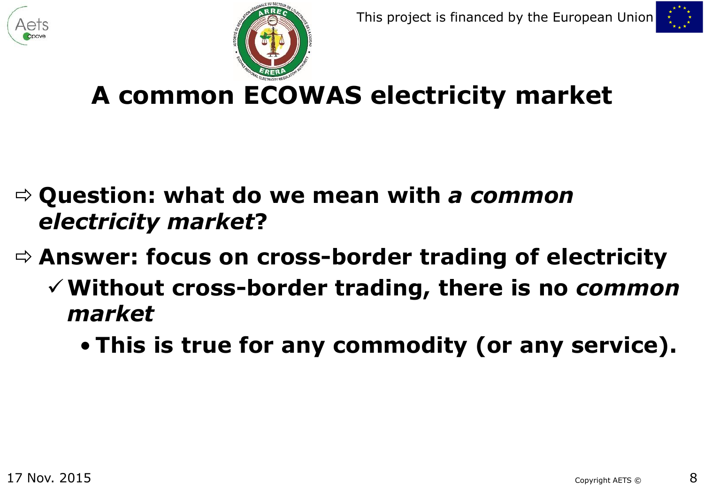![](_page_7_Picture_0.jpeg)

![](_page_7_Picture_3.jpeg)

**A common ECOWAS electricity market**

- **Question: what do we mean with** *a common electricity market***?**
- **Answer: focus on cross-border trading of electricity**
	- **Without cross-border trading, there is no** *common market*
		- **This is true for any commodity (or any service).**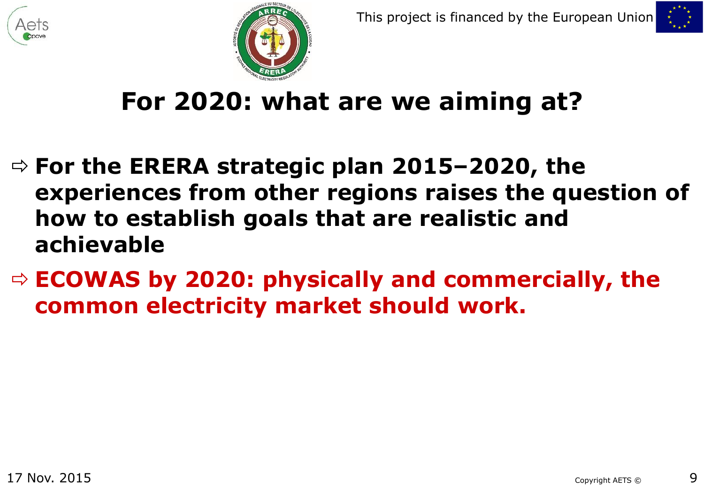![](_page_8_Picture_0.jpeg)

![](_page_8_Picture_3.jpeg)

#### **For 2020: what are we aiming at?**

- **For the ERERA strategic plan 2015–2020, the experiences from other regions raises the question of how to establish goals that are realistic and achievable**
- **ECOWAS by 2020: physically and commercially, the common electricity market should work.**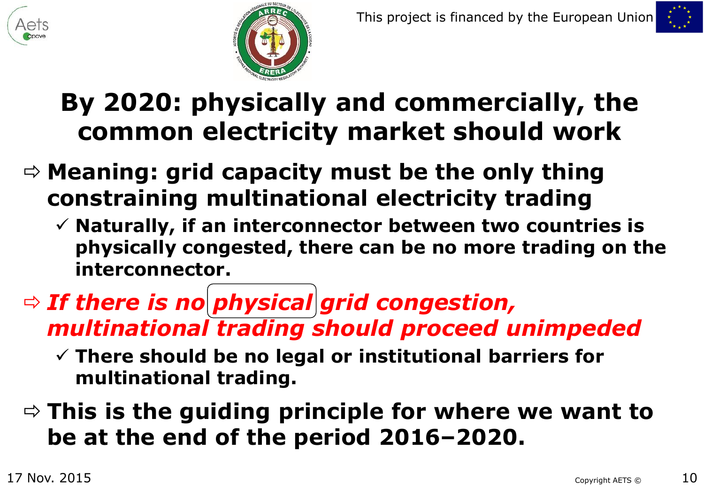![](_page_9_Picture_0.jpeg)

![](_page_9_Picture_3.jpeg)

#### **By 2020: physically and commercially, the common electricity market should work**

- **Meaning: grid capacity must be the only thing constraining multinational electricity trading**
	- **Naturally, if an interconnector between two countries is physically congested, there can be no more trading on the interconnector.**
- $\Rightarrow$  If there is no physical grid congestion, *multinational trading should proceed unimpeded*
	- **There should be no legal or institutional barriers for multinational trading.**
- **This is the guiding principle for where we want to be at the end of the period 2016–2020.**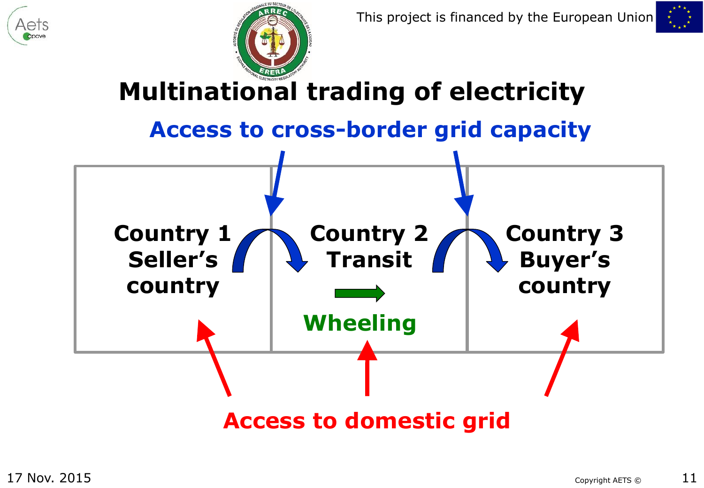![](_page_10_Picture_0.jpeg)

![](_page_10_Picture_1.jpeg)

![](_page_10_Figure_2.jpeg)

**Access to domestic grid**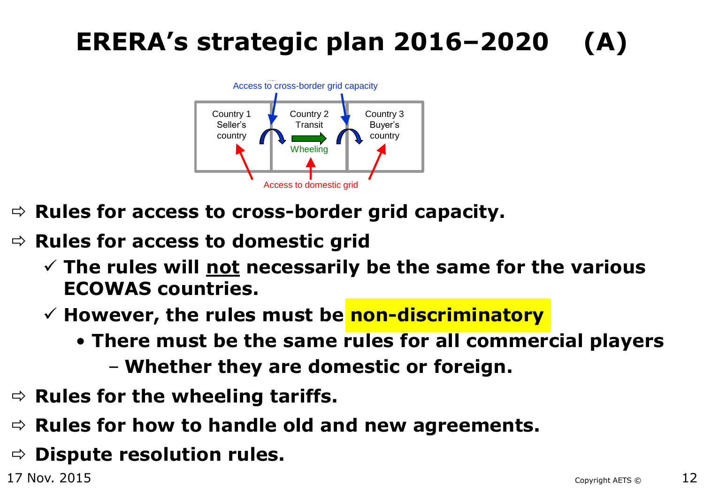### **ERERA's strategic plan 2016–2020 (A)**

![](_page_11_Figure_1.jpeg)

- $\Rightarrow$  **Rules for access to cross-border grid capacity.**
- $\Rightarrow$  **Rules for access to domestic grid** 
	- **The rules will not necessarily be the same for the various ECOWAS countries.**
	- **However, the rules must be non-discriminatory**
		- **There must be the same rules for all commercial players**
			- **Whether they are domestic or foreign.**
- $\Rightarrow$  Rules for the wheeling tariffs.
- $\Rightarrow$  Rules for how to handle old and new agreements.
- $\Rightarrow$  **Dispute resolution rules.**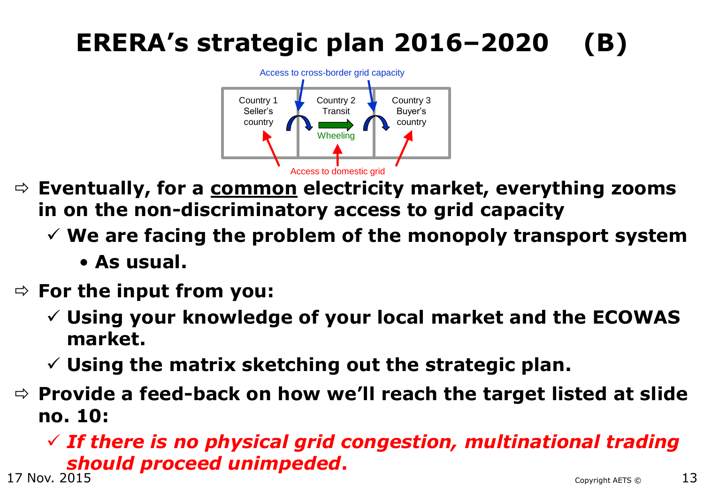# **ERERA's strategic plan 2016–2020 (B)**

![](_page_12_Figure_1.jpeg)

- **Eventually, for a common electricity market, everything zooms in on the non-discriminatory access to grid capacity**
	- **We are facing the problem of the monopoly transport system**
		- **As usual.**
- **For the input from you:**
	- **Using your knowledge of your local market and the ECOWAS market.**
	- **Using the matrix sketching out the strategic plan.**
- **Provide a feed-back on how we'll reach the target listed at slide no. 10:**

#### $17$  Nov.  $2015$   $13$  *If there is no physical grid congestion, multinational trading*  **should proceed unimpeded.**<br>17 Nov. 2015